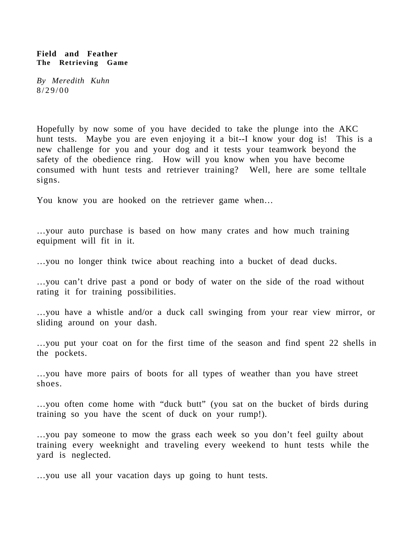## **Field and Feather The Retrieving Game**

*By Meredith Kuhn* 8/29/00

Hopefully by now some of you have decided to take the plunge into the AKC hunt tests. Maybe you are even enjoying it a bit--I know your dog is! This is a new challenge for you and your dog and it tests your teamwork beyond the safety of the obedience ring. How will you know when you have become consumed with hunt tests and retriever training? Well, here are some telltale signs.

You know you are hooked on the retriever game when…

…your auto purchase is based on how many crates and how much training equipment will fit in it.

…you no longer think twice about reaching into a bucket of dead ducks.

…you can't drive past a pond or body of water on the side of the road without rating it for training possibilities.

…you have a whistle and/or a duck call swinging from your rear view mirror, or sliding around on your dash.

…you put your coat on for the first time of the season and find spent 22 shells in the pockets.

…you have more pairs of boots for all types of weather than you have street shoes.

…you often come home with "duck butt" (you sat on the bucket of birds during training so you have the scent of duck on your rump!).

…you pay someone to mow the grass each week so you don't feel guilty about training every weeknight and traveling every weekend to hunt tests while the yard is neglected.

…you use all your vacation days up going to hunt tests.